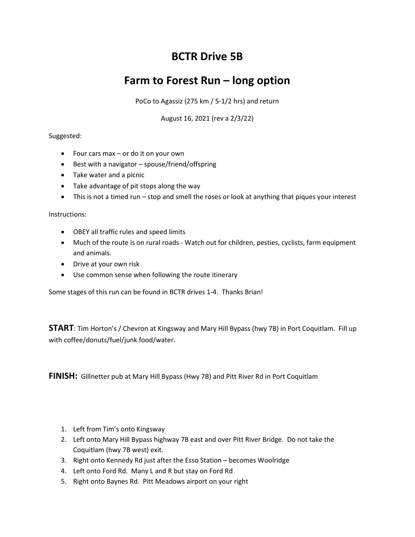# BCTR Drive 5B

## Farm to Forest Run – long option

PoCo to Agassiz (275 km / 5-1/2 hrs) and return

August 16, 2021 (rev a 2/3/22)

### Suggested:

- Four cars max or do it on your own
- Best with a navigator spouse/friend/offspring
- Take water and a picnic
- Take advantage of pit stops along the way
- This is not a timed run stop and smell the roses or look at anything that piques your interest

#### Instructions:

- OBEY all traffic rules and speed limits
- Much of the route is on rural roads Watch out for children, pesties, cyclists, farm equipment and animals.
- Drive at your own risk
- Use common sense when following the route itinerary

Some stages of this run can be found in BCTR drives 1-4. Thanks Brian!

START: Tim Horton's / Chevron at Kingsway and Mary Hill Bypass (hwy 7B) in Port Coquitlam. Fill up with coffee/donuts/fuel/junk food/water.

FINISH: Gillnetter pub at Mary Hill Bypass (Hwy 7B) and Pitt River Rd in Port Coquitlam

- 1. Left from Tim's onto Kingsway
- 2. Left onto Mary Hill Bypass highway 7B east and over Pitt River Bridge. Do not take the Coquitlam (hwy 7B west) exit.
- 3. Right onto Kennedy Rd just after the Esso Station becomes Woolridge
- 4. Left onto Ford Rd. Many L and R but stay on Ford Rd
- 5. Right onto Baynes Rd. Pitt Meadows airport on your right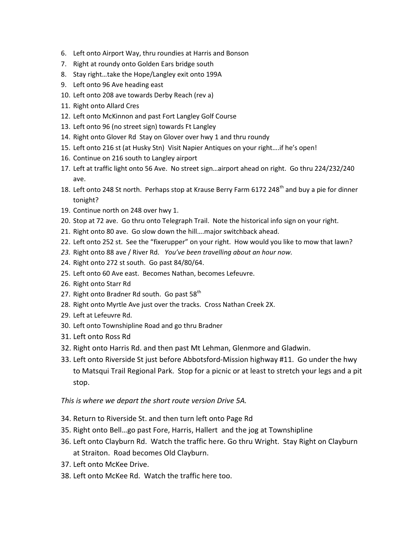- 6. Left onto Airport Way, thru roundies at Harris and Bonson
- 7. Right at roundy onto Golden Ears bridge south
- 8. Stay right…take the Hope/Langley exit onto 199A
- 9. Left onto 96 Ave heading east
- 10. Left onto 208 ave towards Derby Reach (rev a)
- 11. Right onto Allard Cres
- 12. Left onto McKinnon and past Fort Langley Golf Course
- 13. Left onto 96 (no street sign) towards Ft Langley
- 14. Right onto Glover Rd Stay on Glover over hwy 1 and thru roundy
- 15. Left onto 216 st (at Husky Stn) Visit Napier Antiques on your right….if he's open!
- 16. Continue on 216 south to Langley airport
- 17. Left at traffic light onto 56 Ave. No street sign…airport ahead on right. Go thru 224/232/240 ave.
- 18. Left onto 248 St north. Perhaps stop at Krause Berry Farm 6172 248<sup>th</sup> and buy a pie for dinner tonight?
- 19. Continue north on 248 over hwy 1.
- 20. Stop at 72 ave. Go thru onto Telegraph Trail. Note the historical info sign on your right.
- 21. Right onto 80 ave. Go slow down the hill….major switchback ahead.
- 22. Left onto 252 st. See the "fixerupper" on your right. How would you like to mow that lawn?
- 23. Right onto 88 ave / River Rd. You've been travelling about an hour now.
- 24. Right onto 272 st south. Go past 84/80/64.
- 25. Left onto 60 Ave east. Becomes Nathan, becomes Lefeuvre.
- 26. Right onto Starr Rd
- 27. Right onto Bradner Rd south. Go past  $58<sup>th</sup>$
- 28. Right onto Myrtle Ave just over the tracks. Cross Nathan Creek 2X.
- 29. Left at Lefeuvre Rd.
- 30. Left onto Townshipline Road and go thru Bradner
- 31. Left onto Ross Rd
- 32. Right onto Harris Rd. and then past Mt Lehman, Glenmore and Gladwin.
- 33. Left onto Riverside St just before Abbotsford-Mission highway #11. Go under the hwy to Matsqui Trail Regional Park. Stop for a picnic or at least to stretch your legs and a pit stop.

#### This is where we depart the short route version Drive 5A.

- 34. Return to Riverside St. and then turn left onto Page Rd
- 35. Right onto Bell…go past Fore, Harris, Hallert and the jog at Townshipline
- 36. Left onto Clayburn Rd. Watch the traffic here. Go thru Wright. Stay Right on Clayburn at Straiton. Road becomes Old Clayburn.
- 37. Left onto McKee Drive.
- 38. Left onto McKee Rd. Watch the traffic here too.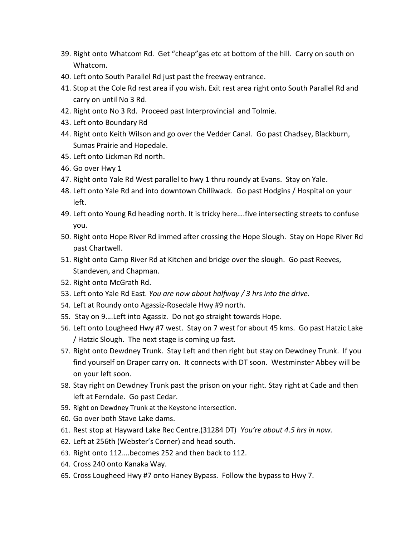- 39. Right onto Whatcom Rd. Get "cheap"gas etc at bottom of the hill. Carry on south on Whatcom.
- 40. Left onto South Parallel Rd just past the freeway entrance.
- 41. Stop at the Cole Rd rest area if you wish. Exit rest area right onto South Parallel Rd and carry on until No 3 Rd.
- 42. Right onto No 3 Rd. Proceed past Interprovincial and Tolmie.
- 43. Left onto Boundary Rd
- 44. Right onto Keith Wilson and go over the Vedder Canal. Go past Chadsey, Blackburn, Sumas Prairie and Hopedale.
- 45. Left onto Lickman Rd north.
- 46. Go over Hwy 1
- 47. Right onto Yale Rd West parallel to hwy 1 thru roundy at Evans. Stay on Yale.
- 48. Left onto Yale Rd and into downtown Chilliwack. Go past Hodgins / Hospital on your left.
- 49. Left onto Young Rd heading north. It is tricky here….five intersecting streets to confuse you.
- 50. Right onto Hope River Rd immed after crossing the Hope Slough. Stay on Hope River Rd past Chartwell.
- 51. Right onto Camp River Rd at Kitchen and bridge over the slough. Go past Reeves, Standeven, and Chapman.
- 52. Right onto McGrath Rd.
- 53. Left onto Yale Rd East. You are now about halfway / 3 hrs into the drive.
- 54. Left at Roundy onto Agassiz-Rosedale Hwy #9 north.
- 55. Stay on 9….Left into Agassiz. Do not go straight towards Hope.
- 56. Left onto Lougheed Hwy #7 west. Stay on 7 west for about 45 kms. Go past Hatzic Lake / Hatzic Slough. The next stage is coming up fast.
- 57. Right onto Dewdney Trunk. Stay Left and then right but stay on Dewdney Trunk. If you find yourself on Draper carry on. It connects with DT soon. Westminster Abbey will be on your left soon.
- 58. Stay right on Dewdney Trunk past the prison on your right. Stay right at Cade and then left at Ferndale. Go past Cedar.
- 59. Right on Dewdney Trunk at the Keystone intersection.
- 60. Go over both Stave Lake dams.
- 61. Rest stop at Hayward Lake Rec Centre.(31284 DT) You're about 4.5 hrs in now.
- 62. Left at 256th (Webster's Corner) and head south.
- 63. Right onto 112….becomes 252 and then back to 112.
- 64. Cross 240 onto Kanaka Way.
- 65. Cross Lougheed Hwy #7 onto Haney Bypass. Follow the bypass to Hwy 7.